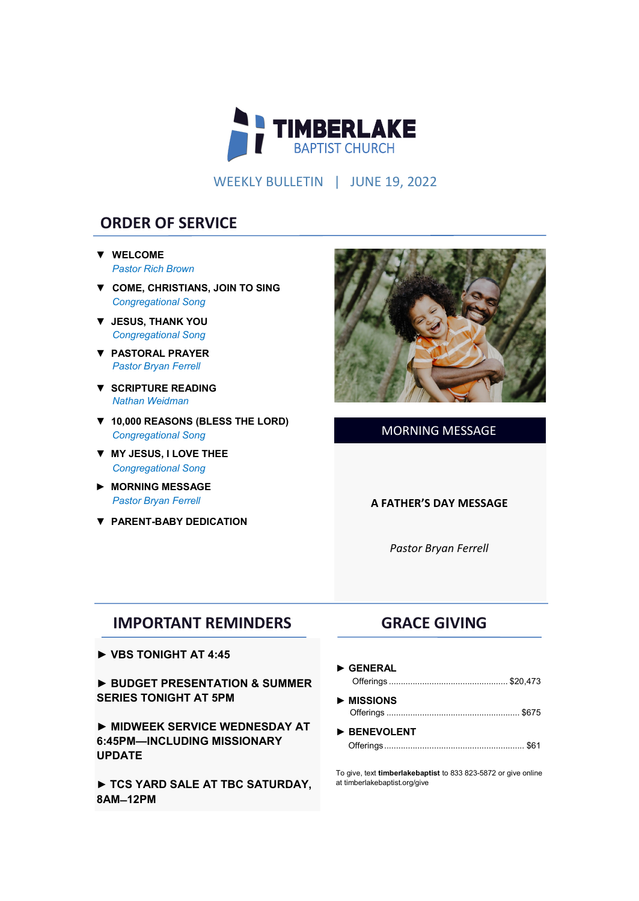

WEEKLY BULLETIN | JUNE 19, 2022

# **ORDER OF SERVICE**

- **▼ WELCOME** *Pastor Rich Brown*
- **▼ COME, CHRISTIANS, JOIN TO SING**  *Congregational Song*
- **▼ JESUS, THANK YOU** *Congregational Song*
- **▼ PASTORAL PRAYER** *Pastor Bryan Ferrell*
- **▼ SCRIPTURE READING** *Nathan Weidman*
- **▼ 10,000 REASONS (BLESS THE LORD)**  *Congregational Song*
- **▼ MY JESUS, I LOVE THEE** *Congregational Song*
- **► MORNING MESSAGE**   *Pastor Bryan Ferrell*
- **▼ PARENT-BABY DEDICATION**



### MORNING MESSAGE

#### **A FATHER'S DAY MESSAGE**

*Pastor Bryan Ferrell*

## **IMPORTANT REMINDERS**

► **VBS TONIGHT AT 4:45**

► **BUDGET PRESENTATION & SUMMER SERIES TONIGHT AT 5PM**

► **MIDWEEK SERVICE WEDNESDAY AT 6:45PM—INCLUDING MISSIONARY UPDATE**

► **TCS YARD SALE AT TBC SATURDAY, 8AM ̶ 12PM** 

# **GRACE GIVING**

- **► GENERAL** Offerings .................................................. \$20,473
- **► MISSIONS** Offerings ........................................................ \$675
- **► BENEVOLENT** Offerings........................................................... \$61

To give, text **timberlakebaptist** to 833 823-5872 or give online at timberlakebaptist.org/give